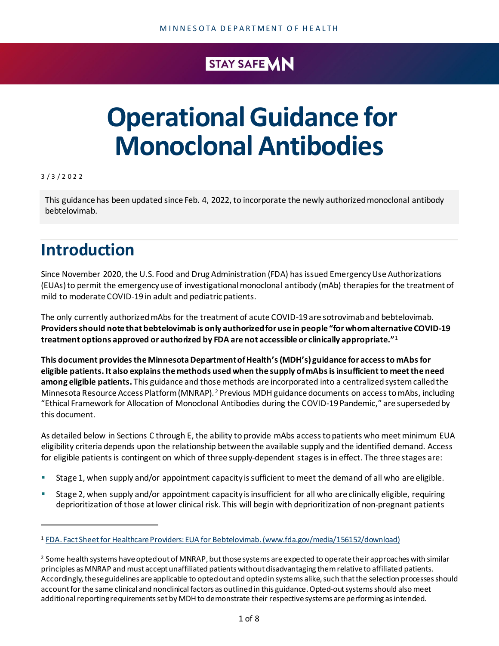### STAY SAFE VIN

# **Operational Guidance for Monoclonal Antibodies**

3 / 3 / 2022

This guidance has been updated since Feb. 4, 2022, to incorporate the newly authorized monoclonal antibody bebtelovimab.

# **Introduction**

Since November 2020, the U.S. Food and Drug Administration (FDA) has issued Emergency Use Authorizations (EUAs) to permit the emergency use of investigational monoclonal antibody (mAb) therapies for the treatment of mild to moderate COVID-19 in adult and pediatric patients.

The only currently authorized mAbs for the treatment of acute COVID-19 are sotrovimaband bebtelovimab. **Providers should note that bebtelovimab is only authorized for use in people "for whom alternative COVID-19 treatment options approved or authorized by FDA are not accessible or clinically appropriate."**[1](#page-0-0)

**This document providesthe Minnesota Department of Health's (MDH's) guidance for access to mAbsfor eligible patients. It also explains the methods used when the supply of mAbs is insufficient to meet the need among eligible patients.** This guidance and thosemethods are incorporated into a centralized system called the Minnesota Resource Access Platform (MNRAP). [2](#page-0-1) Previous MDH guidance documents on access tomAbs, including "Ethical Framework for Allocation of Monoclonal Antibodies during the COVID-19 Pandemic," are superseded by this document.

As detailed below in Sections C through E, the ability to provide mAbs access to patients who meet minimum EUA eligibility criteria depends upon the relationship between the available supply and the identified demand. Access for eligible patients is contingent on which of three supply-dependent stages is in effect. The three stages are:

- Stage 1, when supply and/or appointment capacity is sufficient to meet the demand of all who are eligible.
- Stage 2, when supply and/or appointment capacity isinsufficient for all who are clinically eligible, requiring deprioritization of those at lower clinical risk. This will begin with deprioritization of non-pregnant patients

<span id="page-0-0"></span><sup>1</sup> [FDA. Fact Sheet for Healthcare Providers: EUA for Bebtelovimab. \(www.fda.gov/media/156152/download\)](https://www.fda.gov/media/156152/download)

<span id="page-0-1"></span> $^2$  Some health systems have opted out of MNRAP, but those systems are expected to operate their approaches with similar principles as MNRAP and must accept unaffiliated patients without disadvantaging themrelative to affiliated patients. Accordingly, these guidelines are applicable to opted out and opted in systems alike, such that the selection processes should account for the same clinical and nonclinical factors as outlined in this guidance. Opted-out systems should also meet additional reporting requirements set by MDH to demonstrate their respective systems are performing as intended.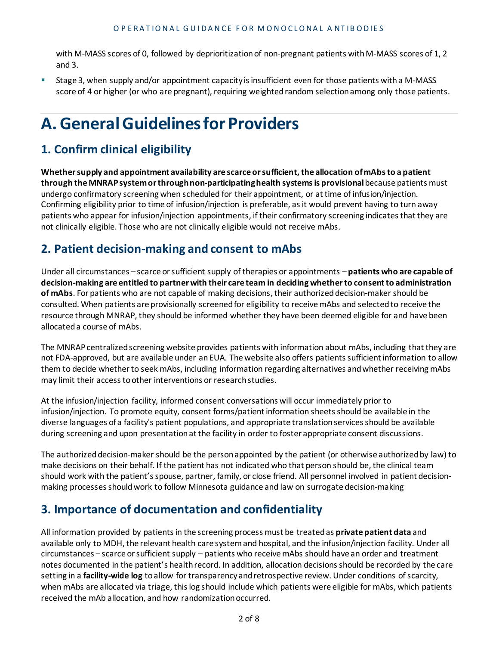with M-MASS scores of 0, followed by deprioritization of non-pregnant patients with M-MASS scores of 1, 2 and 3.

 Stage 3, when supply and/or appointment capacity is insufficient even for those patients witha M-MASS score of 4 or higher (or who are pregnant), requiring weighted random selection among only those patients.

# **A. General Guidelinesfor Providers**

#### **1. Confirm clinical eligibility**

**Whether supply and appointment availability are scarce or sufficient, the allocation of mAbs to a patient through the MNRAP system or through non-participating health systems is provisional**because patients must undergo confirmatory screening when scheduled for their appointment, or at time of infusion/injection. Confirming eligibility prior to time of infusion/injection is preferable, as it would prevent having to turn away patients who appear for infusion/injection appointments, if their confirmatory screening indicates that they are not clinically eligible. Those who are not clinically eligible would not receive mAbs.

#### **2. Patient decision-making and consent to mAbs**

Under all circumstances – scarce or sufficient supply of therapies or appointments – **patients who are capable of decision-making are entitled to partner with their care team in deciding whether to consent to administration of mAbs**. For patients who are not capable of making decisions, their authorized decision-maker should be consulted. When patients are provisionally screened for eligibility to receive mAbs and selected to receive the resource through MNRAP, they should be informed whether they have been deemed eligible for and have been allocated a course of mAbs.

The MNRAP centralized screening website provides patients with information about mAbs, including that they are not FDA-approved, but are available under an EUA. The website also offers patients sufficient information to allow them to decide whether to seek mAbs, including information regarding alternatives and whether receiving mAbs may limit their access to other interventions or research studies.

At the infusion/injection facility, informed consent conversations will occur immediately prior to infusion/injection. To promote equity, consent forms/patient information sheets should be available in the diverse languages of a facility's patient populations, and appropriate translation services should be available during screening and upon presentation at the facility in order to foster appropriate consent discussions.

The authorized decision-maker should be the person appointed by the patient (or otherwise authorized by law) to make decisions on their behalf. If the patient has not indicated who that person should be, the clinical team should work with the patient's spouse, partner, family, or close friend. All personnel involved in patient decisionmaking processes should work to follow Minnesota guidance and law on surrogate decision-making

#### **3. Importance of documentation and confidentiality**

All information provided by patients in the screening process must be treated as **private patient data** and available only to MDH, the relevant health care system and hospital, and the infusion/injection facility. Under all circumstances – scarce or sufficient supply – patients who receive mAbs should have an order and treatment notes documented in the patient's health record. In addition, allocation decisions should be recorded by the care setting in a **facility-wide log** to allow for transparency and retrospective review. Under conditions of scarcity, when mAbs are allocated via triage, this log should include which patients were eligible for mAbs, which patients received the mAb allocation, and how randomization occurred.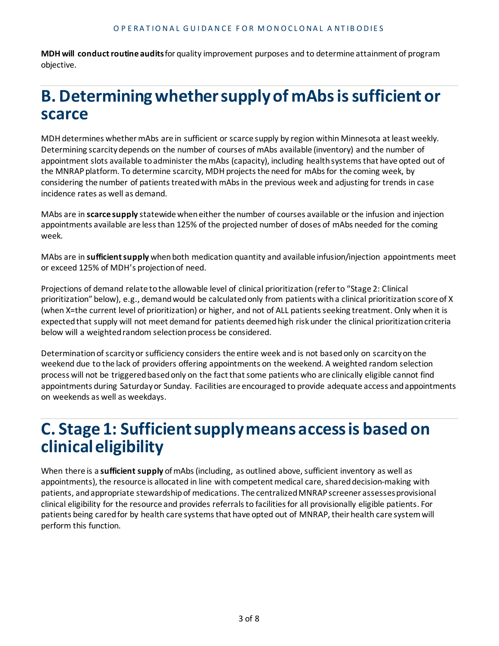**MDH will conduct routine audits**for quality improvement purposes and to determine attainment of program objective.

## **B. Determining whether supply of mAbs is sufficient or scarce**

MDH determines whether mAbs are in sufficient or scarce supply by region within Minnesota at least weekly. Determining scarcity depends on the number of courses of mAbs available (inventory) and the number of appointment slots available to administer the mAbs (capacity), including health systems that have opted out of the MNRAP platform. To determine scarcity, MDH projects the need for mAbs for the coming week, by considering the number of patients treated with mAbs in the previous week and adjusting for trends in case incidence rates as well as demand.

MAbs are in **scarce supply** statewide when either the number of courses available or the infusion and injection appointments available are less than 125% of the projected number of doses of mAbs needed for the coming week.

MAbs are in **sufficient supply** when both medication quantity and available infusion/injection appointments meet or exceed 125% of MDH's projection of need.

Projections of demand relate to the allowable level of clinical prioritization (refer to "Stage 2: Clinical prioritization" below), e.g., demand would be calculated only from patients with a clinical prioritization score of X (when X=the current level of prioritization) or higher, and not of ALL patients seeking treatment. Only when it is expected that supply will not meet demand for patients deemed high risk under the clinical prioritization criteria below will a weighted random selection process be considered.

Determination of scarcity or sufficiency considers the entire week and is not based only on scarcity on the weekend due to the lack of providers offering appointments on the weekend. A weighted random selection process will not be triggered based only on the fact that some patients who are clinically eligible cannot find appointments during Saturday or Sunday. Facilities are encouraged to provide adequate access and appointments on weekends as well as weekdays.

### **C. Stage 1: Sufficient supplymeans access is based on clinical eligibility**

When there is a **sufficient supply** of mAbs (including, as outlined above, sufficient inventory as well as appointments), the resource is allocated in line with competent medical care, shared decision-making with patients, and appropriate stewardship of medications. The centralized MNRAP screener assesses provisional clinical eligibility for the resource and provides referrals to facilities for all provisionally eligible patients. For patients being cared for by health care systems that have opted out of MNRAP, their health care system will perform this function.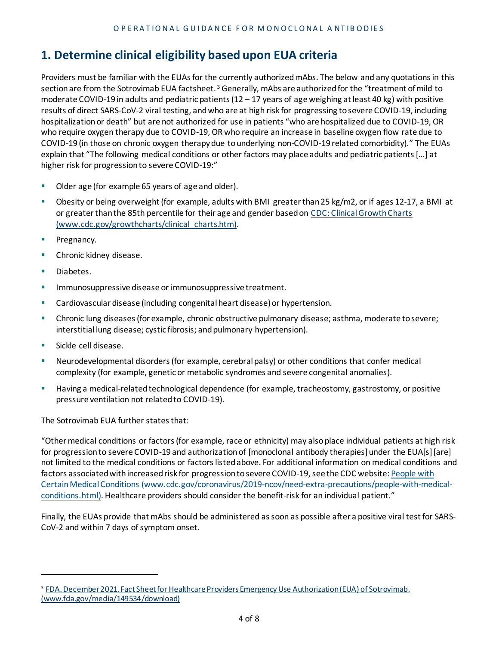#### **1. Determine clinical eligibility based upon EUA criteria**

Providers must be familiar with the EUAs for the currently authorized mAbs. The below and any quotations in this section are from the Sotrovimab EUA factsheet.<sup>[3](#page-3-0)</sup> Generally, mAbs are authorized for the "treatment of mild to moderate COVID-19 in adults and pediatric patients  $(12 - 17)$  years of age weighing at least 40 kg) with positive results of direct SARS-CoV-2 viral testing, and who are at high risk for progressing to severe COVID-19, including hospitalization or death" but are not authorized for use in patients "who are hospitalized due to COVID-19, OR who require oxygen therapy due to COVID-19, OR who require an increase in baseline oxygen flow rate due to COVID-19 (in those on chronic oxygen therapy due to underlying non-COVID-19 related comorbidity)." The EUAs explain that "The following medical conditions or other factors may place adults and pediatric patients […] at higher risk for progression to severe COVID-19:"

- Older age (for example 65 years of age and older).
- Obesity or being overweight (for example, adults with BMI greater than 25 kg/m2, or if ages 12-17, a BMI at or greater than the 85th percentile for their age and gender based on [CDC: Clinical Growth Charts](http://www.cdc.gov/growthcharts/clinical_charts.htm) [\(www.cdc.gov/growthcharts/clinical\\_charts.htm\)](http://www.cdc.gov/growthcharts/clinical_charts.htm).
- **Pregnancy.**
- **Chronic kidney disease.**
- **Diabetes.**
- **IMMUNOSUPPRESSIVE disease or immunosuppressive treatment.**
- Cardiovascular disease (including congenital heart disease) or hypertension.
- Chronic lung diseases (for example, chronic obstructive pulmonary disease; asthma, moderate to severe; interstitial lung disease; cystic fibrosis; and pulmonary hypertension).
- **Sickle cell disease.**
- Neurodevelopmental disorders (for example, cerebral palsy) or other conditions that confer medical complexity (for example, genetic or metabolic syndromes and severe congenital anomalies).
- Having a medical-related technological dependence (for example, tracheostomy, gastrostomy, or positive pressure ventilation not related to COVID-19).

The Sotrovimab EUA further states that:

"Other medical conditions or factors (for example, race or ethnicity) may also place individual patients at high risk for progression to severe COVID-19 and authorization of [monoclonal antibody therapies] under the EUA[s][are] not limited to the medical conditions or factors listed above. For additional information on medical conditions and factors associated with increased risk for progression to severe COVID-19, see the CDC website[: People with](https://www.cdc.gov/coronavirus/2019-ncov/need-extra-precautions/people-with-medical-conditions.html)  [Certain Medical Conditions \(www.cdc.gov/coronavirus/2019-ncov/need-extra-precautions/people-with-medical](https://www.cdc.gov/coronavirus/2019-ncov/need-extra-precautions/people-with-medical-conditions.html)[conditions.html\).](https://www.cdc.gov/coronavirus/2019-ncov/need-extra-precautions/people-with-medical-conditions.html) Healthcare providers should consider the benefit-risk for an individual patient."

Finally, the EUAs provide that mAbs should be administered as soon as possible after a positive viral test for SARS-CoV-2 and within 7 days of symptom onset.

<span id="page-3-0"></span><sup>&</sup>lt;sup>3</sup> FDA. December 2021. Fact Sheet for Healthcare Providers Emergency Use Authorization (EUA) of Sotrovimab. [\(www.fda.gov/media/149534/download\)](http://www.fda.gov/media/149534/download)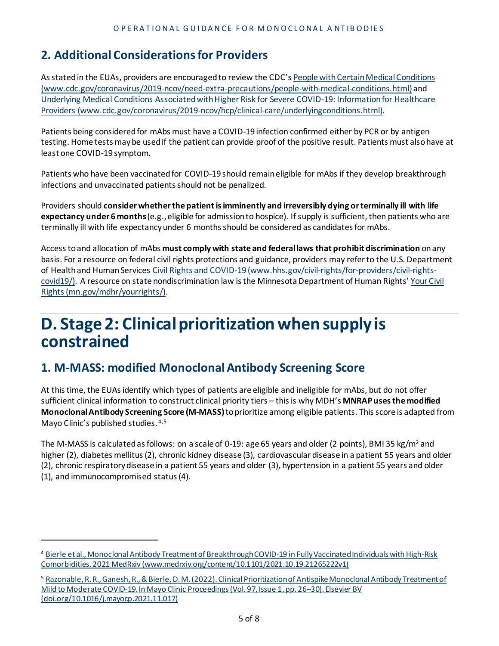#### **2. Additional Considerations for Providers**

As stated in the EUAs, providers are encouraged to review the CDC'[s People with Certain Medical Conditions](https://www.cdc.gov/coronavirus/2019-ncov/need-extra-precautions/people-with-medical-conditions.html)  [\(www.cdc.gov/coronavirus/2019-ncov/need-extra-precautions/people-with-medical-conditions.html\)](https://www.cdc.gov/coronavirus/2019-ncov/need-extra-precautions/people-with-medical-conditions.html) and [Underlying Medical Conditions Associated with Higher Risk for Severe COVID-19: Information for Healthcare](https://www.cdc.gov/coronavirus/2019-ncov/hcp/clinical-care/underlyingconditions.html)  [Providers \(www.cdc.gov/coronavirus/2019-ncov/hcp/clinical-care/underlyingconditions.html\).](https://www.cdc.gov/coronavirus/2019-ncov/hcp/clinical-care/underlyingconditions.html)

Patients being considered for mAbs must have a COVID-19 infection confirmed either by PCR or by antigen testing. Home tests may be used if the patient can provide proof of the positive result. Patients must also have at least one COVID-19 symptom.

Patients who have been vaccinated for COVID-19 should remain eligible for mAbs if they develop breakthrough infections and unvaccinated patients should not be penalized.

Providers should **consider whether the patient is imminently and irreversibly dying or terminally ill with life expectancy under 6 months**(e.g., eligible for admission to hospice). If supply is sufficient, then patients who are terminally ill with life expectancy under 6 months should be considered as candidates for mAbs.

Access to and allocation of mAbs **must comply with state and federal laws that prohibit discrimination** on any basis. For a resource on federal civil rights protections and guidance, providers may refer to the U.S. Department of Health and Human Services [Civil Rights and COVID-19 \(www.hhs.gov/civil-rights/for-providers/civil-rights](https://www.hhs.gov/civil-rights/for-providers/civil-rights-covid19/)[covid19/\).](https://www.hhs.gov/civil-rights/for-providers/civil-rights-covid19/) A resource on state nondiscrimination law is the Minnesota Department of Human Rights[' Your Civil](https://mn.gov/mdhr/yourrights/)  [Rights \(mn.gov/mdhr/yourrights/\).](https://mn.gov/mdhr/yourrights/)

### **D. Stage 2: Clinical prioritization when supply is constrained**

#### **1. M-MASS: modified Monoclonal Antibody Screening Score**

At this time, the EUAs identify which types of patients are eligible and ineligible for mAbs, but do not offer sufficient clinical information to construct clinical priority tiers – this is why MDH's **MNRAP usesthe modified Monoclonal Antibody Screening Score (M-MASS)**to prioritize among eligible patients. Thisscore is adapted from Mayo Clinic's published studies. [4](#page-4-0),[5](#page-4-1)

The M-MASS is calculated as follows: on a scale of 0-19: age 65 years and older (2 points), BMI 35 kg/m<sup>2</sup> and higher (2), diabetes mellitus (2), chronic kidney disease (3), cardiovascular disease in a patient 55 years and older (2), chronic respiratory disease in a patient 55 years and older (3), hypertension in a patient 55 years and older (1), and immunocompromised status (4).

<span id="page-4-0"></span><sup>4</sup> [Bierle et al., Monoclonal Antibody Treatment of Breakthrough COVID-19 in Fully Vaccinated Individuals with High-Risk](https://www.medrxiv.org/content/10.1101/2021.10.19.21265222v1)  [Comorbidities. 2021 MedRxiv \(www.medrxiv.org/content/10.1101/2021.10.19.21265222v1\)](https://www.medrxiv.org/content/10.1101/2021.10.19.21265222v1)

<span id="page-4-1"></span><sup>5</sup> [Razonable, R. R., Ganesh, R., & Bierle, D. M. \(2022\). Clinical Prioritization of Antispike Monoclonal Antibody Treatment of](https://doi.org/10.1016/j.mayocp.2021.11.017)  [Mild to Moderate COVID-19. In Mayo Clinic Proceedings \(Vol. 97, Issue 1, pp. 26–30\). Elsevier BV](https://doi.org/10.1016/j.mayocp.2021.11.017)  [\(doi.org/10.1016/j.mayocp.2021.11.017\)](https://doi.org/10.1016/j.mayocp.2021.11.017)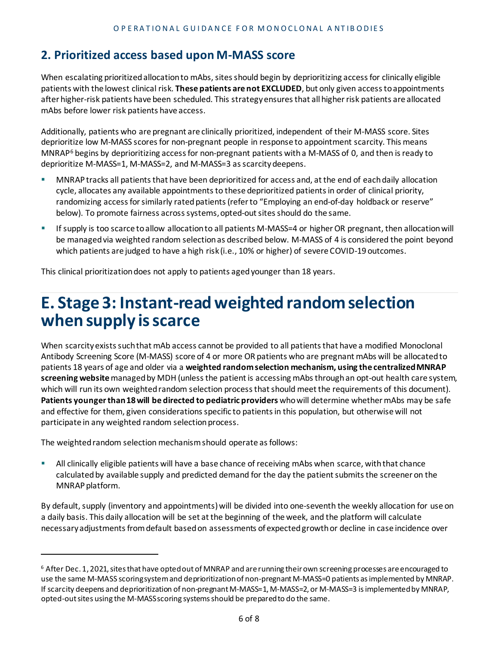#### **2. Prioritized access based upon M-MASS score**

When escalating prioritized allocation to mAbs, sites should begin by deprioritizing access for clinically eligible patients with the lowest clinical risk. **These patients are not EXCLUDED**, but only given access to appointments after higher-risk patients have been scheduled. This strategy ensures that all higher risk patients are allocated mAbs before lower risk patients have access.

Additionally, patients who are pregnant are clinically prioritized, independent of their M-MASS score. Sites deprioritize low M-MASS scores for non-pregnant people in response to appointment scarcity. This means MNRAP<sup>[6](#page-5-0)</sup> begins by deprioritizing access for non-pregnant patients with a M-MASS of 0, and then is ready to deprioritize M-MASS=1, M-MASS=2, and M-MASS=3 as scarcity deepens.

- MNRAP tracks all patients that have been deprioritized for access and, at the end of each daily allocation cycle, allocates any available appointments to these deprioritized patients in order of clinical priority, randomizing access for similarly rated patients (refer to "Employing an end-of-day holdback or reserve" below). To promote fairness across systems, opted-out sites should do the same.
- If supply is too scarce to allow allocation to all patients M-MASS=4 or higher OR pregnant, then allocation will be managed via weighted random selection as described below. M-MASS of 4 is considered the point beyond which patients are judged to have a high risk (i.e., 10% or higher) of severe COVID-19 outcomes.

This clinical prioritization does not apply to patients aged younger than 18 years.

### **E. Stage 3: Instant-read weighted random selection when supply is scarce**

When scarcity exists such that mAb access cannot be provided to all patients that have a modified Monoclonal Antibody Screening Score (M-MASS) score of 4 or more OR patients who are pregnant mAbs will be allocatedto patients 18 years of age and older via a **weighted random selection mechanism, using the centralized MNRAP screening website**managed by MDH (unless the patient is accessing mAbsthrough an opt-out health care system, which will run its own weighted random selection process that should meet the requirements of this document). **Patients younger than 18 will be directed to pediatric providers** who will determine whether mAbs may be safe and effective for them, given considerations specific to patients in this population, but otherwise will not participate in any weighted random selection process.

The weighted random selection mechanism should operate as follows:

 All clinically eligible patients will have a base chance of receiving mAbs when scarce, with that chance calculatedby available supply and predicted demand for the day the patient submits the screener on the MNRAP platform.

By default, supply (inventory and appointments) will be divided into one-seventh the weekly allocation for use on a daily basis. This daily allocation will be set at the beginning of the week, and the platform will calculate necessary adjustments from default based on assessments of expected growth or decline in case incidence over

<span id="page-5-0"></span> $6$  After Dec. 1, 2021, sites that have opted out of MNRAP and are running their own screening processes are encouraged to use the same M-MASS scoring system and deprioritization of non-pregnant M-MASS=0 patients as implemented by MNRAP. If scarcity deepens and deprioritization of non-pregnant M-MASS=1, M-MASS=2, or M-MASS=3 is implemented by MNRAP, opted-out sites using the M-MASS scoring systems should be prepared to do the same.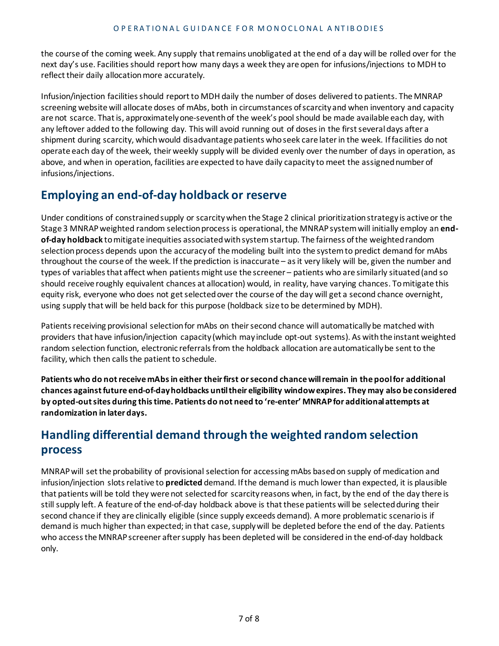the course of the coming week. Any supply that remains unobligated at the end of a day will be rolled over for the next day's use. Facilities should report how many days a week they are open for infusions/injections to MDH to reflect their daily allocation more accurately.

Infusion/injection facilities should report to MDH daily the number of doses delivered to patients. The MNRAP screening website will allocate doses of mAbs, both in circumstances of scarcity and when inventory and capacity are not scarce. That is, approximately one-seventh of the week's pool should be made available each day, with any leftover added to the following day. This will avoid running out of doses in the first several days after a shipment during scarcity, which would disadvantage patients who seek care later in the week. If facilities do not operate each day of the week, their weekly supply will be divided evenly over the number of days in operation, as above, and when in operation, facilities are expected to have daily capacity to meet the assigned number of infusions/injections.

#### **Employing an end-of-day holdback or reserve**

Under conditions of constrained supply or scarcity when the Stage 2 clinical prioritization strategy is active or the Stage 3 MNRAP weighted random selection process is operational, the MNRAP system will initially employ an **endof-day holdback** to mitigate inequities associated with system startup. The fairness of the weighted random selection process depends upon the accuracy of the modeling built into the system to predict demand for mAbs throughout the course of the week. If the prediction is inaccurate – as it very likely will be, given the number and types of variables that affect when patients might use the screener – patients who are similarly situated (and so should receive roughly equivalent chances at allocation) would, in reality, have varying chances. To mitigate this equity risk, everyone who does not get selected over the course of the day will get a second chance overnight, using supply that will be held back for this purpose (holdback size to be determined by MDH).

Patients receiving provisional selection for mAbs on their second chance will automatically be matched with providers that have infusion/injection capacity (which may include opt-out systems). As with the instant weighted random selection function, electronic referrals from the holdback allocation are automatically be sent to the facility, which then calls the patient to schedule.

**Patients who do not receive mAbs in either their first or second chance will remain in the pool for additional chances against future end-of-day holdbacks until their eligibility window expires. They may also be considered by opted-out sites during this time. Patients do not need to 're-enter' MNRAP for additional attempts at randomization in later days.** 

#### **Handling differential demand through the weighted random selection process**

MNRAP will set the probability of provisional selection for accessing mAbs based on supply of medication and infusion/injection slots relative to **predicted** demand. If the demand is much lower than expected, it is plausible that patients will be told they were not selected for scarcity reasons when, in fact, by the end of the day there is still supply left. A feature of the end-of-day holdback above is that these patients will be selected during their second chance if they are clinically eligible (since supply exceeds demand). A more problematic scenario is if demand is much higher than expected; in that case, supply will be depleted before the end of the day. Patients who access the MNRAP screener after supply has been depleted will be considered in the end-of-day holdback only.